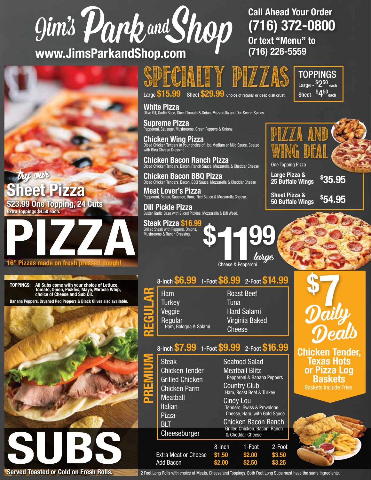## gim's Park and Shop

www.JimsParkandShop.com

#### v our eet Pizza \$23.99 One Topping, 24 Cuts Extra Toppings \$4.50 each.



#### 16" Pizzas made on fresh pressed dougl

TOPPINGS: All Subs come with your choice of Lettuce, Tomato, Onion, Pickles, Mayo, Miracle Whip, choice of Cheese and Sub Oil.

Banana Peppers, Crushed Red Peppers & Black Olives also available.



### specialty pizzas

Large \$15.99 Sheet \$29.99 Choice of regular or deep dish crust.

**White Pizza**<br>Olive Oil, Garlic Base, Diced Tomato & Onion, Mozzarella and Our Secret Spices.

Supreme Pizza Pepperoni, Sausage, Mushrooms, Green Peppers & Onions.

Chicken Wing Pizza Diced Chicken Tenders in your choice of Hot, Medium or Mild Sauce. Coated with Bleu Cheese Dressing.

Chicken Bacon Ranch Pizza<br>Diced Chicken Tenders, Bacon, Ranch Sauce, Mozzarella & Cheddar Cheese

Chicken Bacon BBQ Pizza Diced Chicken Tenders, Bacon, BBQ Sauce, Mozzarella & Cheddar Cheese

**Meat Lover's Pizza**<br>Pepperoni, Bacon, Sausage, Ham, Red Sauce & Mozzarella Cheese.

Dill Pickle Pizza Butter Garlic Base with Sliced Pickles, Mozzarella & Dill Weed.

Steak Pizza \$16.99 Grilled Steak with Peppers, Onions, Mushrooms & Ranch Dressing.

\$ Cheese & Pepperoni large

Cheese & Pepperoni

| 8-inch \$6.99 1-Foot \$8.99 2-Foot \$14.99 |                   |                    |  |
|--------------------------------------------|-------------------|--------------------|--|
| Ham                                        | <b>Roast Beef</b> |                    |  |
| <b>Turkey</b>                              | Tuna              |                    |  |
| Veggie                                     |                   | <b>Hard Salami</b> |  |
| Regular                                    |                   | Virginia Baked     |  |
| Ham, Bologna & Salami                      | <b>Cheese</b>     |                    |  |

#### 8-inch \$7.99 1-Foot \$9.99 2-Foot \$16.99

| <b>Steak</b><br><b>Chicken Tender</b><br><b>Grilled Chicken</b><br><b>Chicken Parm</b> | <b>Seafood Salad</b><br><b>Meatball Blitz</b><br>Pepperoni & Banana Peppers<br><b>Country Club</b>                                       |                                   |                            |  |
|----------------------------------------------------------------------------------------|------------------------------------------------------------------------------------------------------------------------------------------|-----------------------------------|----------------------------|--|
| <b>Meatball</b><br><b>Italian</b><br>Pizza<br>BLT                                      | Ham, Roast Beef & Turkey<br><b>Cindy Lou</b><br>Tenders, Swiss & Provolone<br>Cheese, Ham, with Gold Sauce<br><b>Chicken Bacon Ranch</b> |                                   |                            |  |
| Cheeseburger                                                                           | Grilled Chicken, Bacon, Ranch<br>& Cheddar Cheese                                                                                        |                                   |                            |  |
| <b>Extra Meat or Cheese</b><br>Add Bacon                                               | 8-inch<br>\$1.50<br>\$2.00                                                                                                               | 1-Foot<br>\$2.00<br><b>\$2.50</b> | 2-Foot<br>\$3.50<br>\$3.25 |  |

#### Call Ahead Your Order (716) 372-0800 Or text "Menu" to (716) 226-5559

TOPPINGS Large - <sup>\$</sup>2<sup>50</sup> <sub>each</sub> Sheet -  ${{}^{\mathsf{s}}\mathsf{4}^{50}}$ <sub>each</sub>

pizza and WING DEAL One Topping Pizza

Large Pizza & 25 Buffalo Wings Sheet Pizza & 50 Buffalo Wings \$ 35.95 \$ 54.95



Chicken Tender, Texas Hots or Pizza Log Baskets Baskets include Fries.



Served Toasted or Cold on Fresh Rolls. 2 Foot Long Rolls with choice of Meats, Cheese and Toppings. Both Foot Long Subs must have the same ingredients.